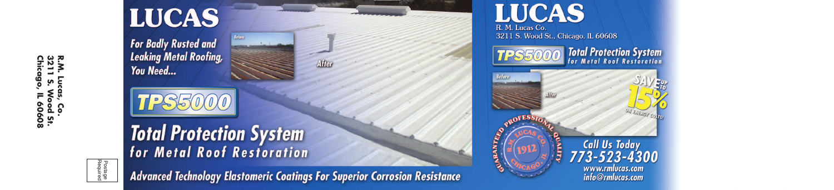R.M.<br>3211<br>Chica  $\frac{1}{2}$  o. ias, Co.<br>Wood St.<br>, IL 60608

Postage<br>Required

## **LUCAS**

**For Badly Rusted and Leaking Metal Roofing, You Need...** 



## **Total Protection System** for Metal Roof Restoration

**Advanced Technology Elastomeric Coatings For Superior Corrosion Resistance** 



### LUCAS R. M. Lucas Co.

3211 S. Wood St., Chicago, IL 60608

**Total Protection System** TPS50





Call Us Today<br>773-523-4300 www.rmlucas.com info@rmlucas.com